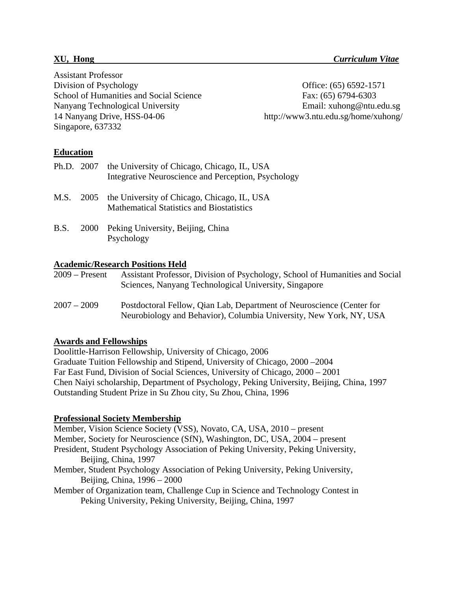Assistant Professor Division of Psychology Office: (65) 6592-1571 School of Humanities and Social Science Fax: (65) 6794-6303 Nanyang Technological University Email: xuhong@ntu.edu.sg 14 Nanyang Drive, HSS-04-06 http://www3.ntu.edu.sg/home/xuhong/ Singapore, 637332

# **Education**

|      | Ph.D. 2007 the University of Chicago, Chicago, IL, USA<br>Integrative Neuroscience and Perception, Psychology |
|------|---------------------------------------------------------------------------------------------------------------|
|      | M.S. 2005 the University of Chicago, Chicago, IL, USA<br><b>Mathematical Statistics and Biostatistics</b>     |
| B.S. | 2000 Peking University, Beijing, China<br>Psychology                                                          |

# **Academic/Research Positions Held**

2009 – Present Assistant Professor, Division of Psychology, School of Humanities and Social Sciences, Nanyang Technological University, Singapore

2007 – 2009 Postdoctoral Fellow, Qian Lab, Department of Neuroscience (Center for Neurobiology and Behavior), Columbia University, New York, NY, USA

# **Awards and Fellowships**

Doolittle-Harrison Fellowship, University of Chicago, 2006 Graduate Tuition Fellowship and Stipend, University of Chicago, 2000 –2004 Far East Fund, Division of Social Sciences, University of Chicago, 2000 – 2001 Chen Naiyi scholarship, Department of Psychology, Peking University, Beijing, China, 1997 Outstanding Student Prize in Su Zhou city, Su Zhou, China, 1996

# **Professional Society Membership**

Member, Vision Science Society (VSS), Novato, CA, USA, 2010 – present Member, Society for Neuroscience (SfN), Washington, DC, USA, 2004 – present President, Student Psychology Association of Peking University, Peking University, Beijing, China, 1997 Member, Student Psychology Association of Peking University, Peking University, Beijing, China, 1996 – 2000 Member of Organization team, Challenge Cup in Science and Technology Contest in Peking University, Peking University, Beijing, China, 1997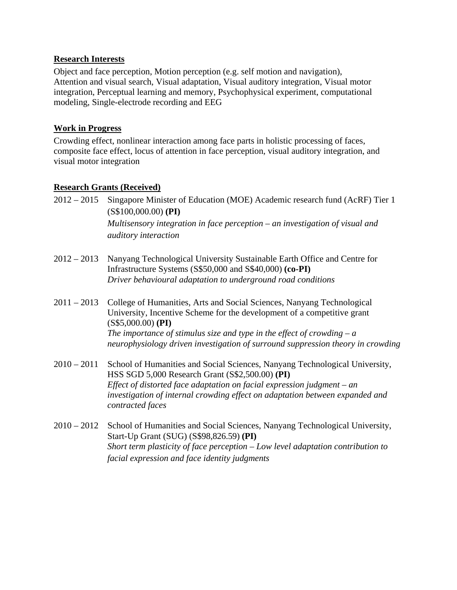## **Research Interests**

Object and face perception, Motion perception (e.g. self motion and navigation), Attention and visual search, Visual adaptation, Visual auditory integration, Visual motor integration, Perceptual learning and memory, Psychophysical experiment, computational modeling, Single-electrode recording and EEG

## **Work in Progress**

Crowding effect, nonlinear interaction among face parts in holistic processing of faces, composite face effect, locus of attention in face perception, visual auditory integration, and visual motor integration

# **Research Grants (Received)**

- 2012 2015 Singapore Minister of Education (MOE) Academic research fund (AcRF) Tier 1 (S\$100,000.00) **(PI)**  *Multisensory integration in face perception – an investigation of visual and auditory interaction*
- 2012 2013 Nanyang Technological University Sustainable Earth Office and Centre for Infrastructure Systems (S\$50,000 and S\$40,000) **(co-PI)** *Driver behavioural adaptation to underground road conditions*
- 2011 2013 College of Humanities, Arts and Social Sciences, Nanyang Technological University, Incentive Scheme for the development of a competitive grant (S\$5,000.00) **(PI)** *The importance of stimulus size and type in the effect of crowding – a neurophysiology driven investigation of surround suppression theory in crowding*
- 2010 2011 School of Humanities and Social Sciences, Nanyang Technological University, HSS SGD 5,000 Research Grant (S\$2,500.00) **(PI)** *Effect of distorted face adaptation on facial expression judgment – an investigation of internal crowding effect on adaptation between expanded and contracted faces*
- 2010 2012 School of Humanities and Social Sciences, Nanyang Technological University, Start-Up Grant (SUG) (S\$98,826.59) **(PI)** *Short term plasticity of face perception – Low level adaptation contribution to facial expression and face identity judgments*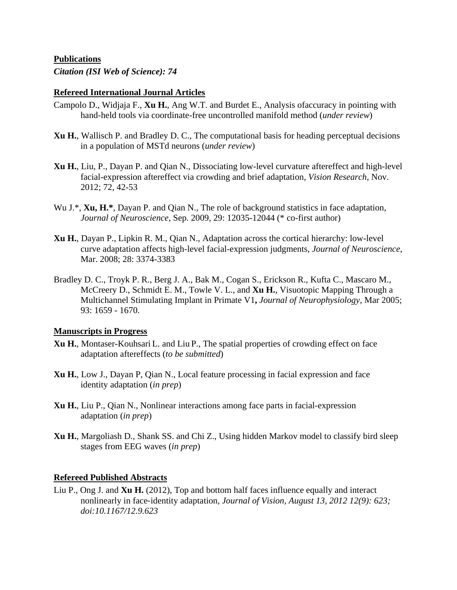## **Publications**

*Citation (ISI Web of Science): 74* 

#### **Refereed International Journal Articles**

- Campolo D., Widjaja F., **Xu H.**, Ang W.T. and Burdet E., Analysis ofaccuracy in pointing with hand-held tools via coordinate-free uncontrolled manifold method (*under review*)
- **Xu H.**, Wallisch P. and Bradley D. C., The computational basis for heading perceptual decisions in a population of MSTd neurons (*under review*)
- **Xu H.**, Liu, P., Dayan P. and Qian N., Dissociating low-level curvature aftereffect and high-level facial-expression aftereffect via crowding and brief adaptation, *Vision Research,* Nov. 2012; 72, 42-53
- Wu J.\*, **Xu, H.\***, Dayan P. and Qian N., The role of background statistics in face adaptation, *Journal of Neuroscience*, Sep. 2009, 29: 12035-12044 (\* co-first author)
- **Xu H.**, Dayan P., Lipkin R. M., Qian N., Adaptation across the cortical hierarchy: low-level curve adaptation affects high-level facial-expression judgments, *Journal of Neuroscience*, Mar. 2008; 28: 3374-3383
- Bradley D. C., Troyk P. R., Berg J. A., Bak M., Cogan S., Erickson R., Kufta C., Mascaro M., McCreery D., Schmidt E. M., Towle V. L., and **Xu H.**, Visuotopic Mapping Through a Multichannel Stimulating Implant in Primate V1**,** *Journal of Neurophysiology*, Mar 2005; 93: 1659 - 1670.

#### **Manuscripts in Progress**

- **Xu H.**, Montaser-Kouhsari L. and Liu P., The spatial properties of crowding effect on face adaptation aftereffects (*to be submitted*)
- **Xu H.**, Low J., Dayan P, Qian N., Local feature processing in facial expression and face identity adaptation (*in prep*)
- **Xu H.**, Liu P., Qian N., Nonlinear interactions among face parts in facial-expression adaptation (*in prep*)
- **Xu H.**, Margoliash D., Shank SS. and Chi Z., Using hidden Markov model to classify bird sleep stages from EEG waves (*in prep*)

## **Refereed Published Abstracts**

Liu P., Ong J. and **Xu H.** (2012), Top and bottom half faces influence equally and interact nonlinearly in face-identity adaptation, *Journal of Vision, August 13, 2012 12(9): 623; doi:10.1167/12.9.623*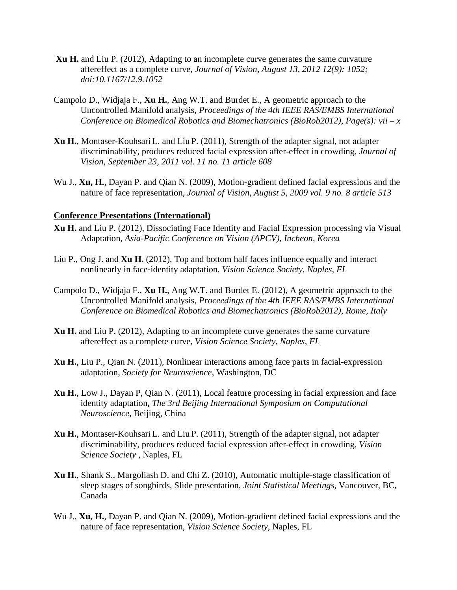- **Xu H.** and Liu P. (2012), Adapting to an incomplete curve generates the same curvature aftereffect as a complete curve, *Journal of Vision, August 13, 2012 12(9): 1052; doi:10.1167/12.9.1052*
- Campolo D., Widjaja F., **Xu H.**, Ang W.T. and Burdet E., A geometric approach to the Uncontrolled Manifold analysis, *Proceedings of the 4th IEEE RAS/EMBS International Conference on Biomedical Robotics and Biomechatronics (BioRob2012)*, *Page(s): vii – x*
- **Xu H.**, Montaser-Kouhsari L. and Liu P. (2011), Strength of the adapter signal, not adapter discriminability, produces reduced facial expression after-effect in crowding, *Journal of Vision, September 23, 2011 vol. 11 no. 11 article 608*
- Wu J., **Xu, H.**, Dayan P. and Qian N. (2009), Motion-gradient defined facial expressions and the nature of face representation, *Journal of Vision, August 5, 2009 vol. 9 no. 8 article 513*

#### **Conference Presentations (International)**

- **Xu H.** and Liu P. (2012), Dissociating Face Identity and Facial Expression processing via Visual Adaptation, *Asia-Pacific Conference on Vision (APCV), Incheon, Korea*
- Liu P., Ong J. and **Xu H.** (2012), Top and bottom half faces influence equally and interact nonlinearly in face‐identity adaptation, *Vision Science Society, Naples, FL*
- Campolo D., Widjaja F., **Xu H.**, Ang W.T. and Burdet E. (2012), A geometric approach to the Uncontrolled Manifold analysis, *Proceedings of the 4th IEEE RAS/EMBS International Conference on Biomedical Robotics and Biomechatronics (BioRob2012)*, *Rome, Italy*
- **Xu H.** and Liu P. (2012), Adapting to an incomplete curve generates the same curvature aftereffect as a complete curve, *Vision Science Society, Naples, FL*
- **Xu H.**, Liu P., Qian N. (2011), Nonlinear interactions among face parts in facial-expression adaptation, *Society for Neuroscience*, Washington, DC
- **Xu H.**, Low J., Dayan P, Qian N. (2011), Local feature processing in facial expression and face identity adaptation**,** *The 3rd Beijing International Symposium on Computational Neuroscience*, Beijing, China
- **Xu H.**, Montaser-Kouhsari L. and Liu P. (2011), Strength of the adapter signal, not adapter discriminability, produces reduced facial expression after-effect in crowding, *Vision Science Society* , Naples, FL
- **Xu H.**, Shank S., Margoliash D. and Chi Z. (2010), Automatic multiple-stage classification of sleep stages of songbirds, Slide presentation, *Joint Statistical Meetings*, Vancouver, BC, Canada
- Wu J., **Xu, H.**, Dayan P. and Qian N. (2009), Motion-gradient defined facial expressions and the nature of face representation, *Vision Science Society*, Naples, FL